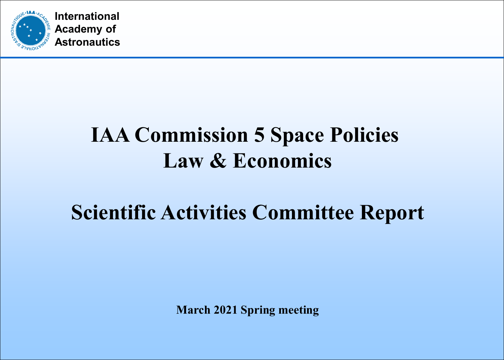

## **IAA Commission 5 Space Policies Law & Economics**

# **Scientific Activities Committee Report**

**March 2021 Spring meeting**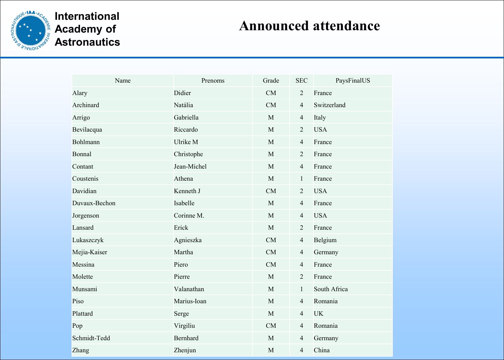

### **Announced attendance**

| Name          | Prenoms     | Grade       | <b>SEC</b>     | PaysFinalUS  |
|---------------|-------------|-------------|----------------|--------------|
| Alary         | Didier      | CM          | $\overline{2}$ | France       |
| Archinard     | Natália     | CM          | $\overline{4}$ | Switzerland  |
| Arrigo        | Gabriella   | M           | $\overline{4}$ | Italy        |
| Bevilacqua    | Riccardo    | M           | $\overline{2}$ | <b>USA</b>   |
| Bohlmann      | Ulrike M    | M           | $\overline{4}$ | France       |
| Bonnal        | Christophe  | M           | $\overline{2}$ | France       |
| Contant       | Jean-Michel | M           | $\overline{4}$ | France       |
| Coustenis     | Athena      | M           | $\mathbf{1}$   | France       |
| Davidian      | Kenneth J   | CM          | $\overline{2}$ | <b>USA</b>   |
| Duvaux-Bechon | Isabelle    | M           | $\overline{4}$ | France       |
| Jorgenson     | Corinne M.  | M           | $\overline{4}$ | <b>USA</b>   |
| Lansard       | Erick       | $\mathbf M$ | $\overline{2}$ | France       |
| Lukaszczyk    | Agnieszka   | CM          | $\overline{4}$ | Belgium      |
| Mejia-Kaiser  | Martha      | CM          | $\overline{4}$ | Germany      |
| Messina       | Piero       | CM          | $\overline{4}$ | France       |
| Molette       | Pierre      | M           | $\overline{2}$ | France       |
| Munsami       | Valanathan  | M           | 1              | South Africa |
| Piso          | Marius-Ioan | M           | $\overline{4}$ | Romania      |
| Plattard      | Serge       | M           | $\overline{4}$ | <b>UK</b>    |
| Pop           | Virgiliu    | CM          | $\overline{4}$ | Romania      |
| Schmidt-Tedd  | Bernhard    | M           | $\overline{4}$ | Germany      |
| Zhang         | Zhenjun     | $\mathbf M$ | $\overline{4}$ | China        |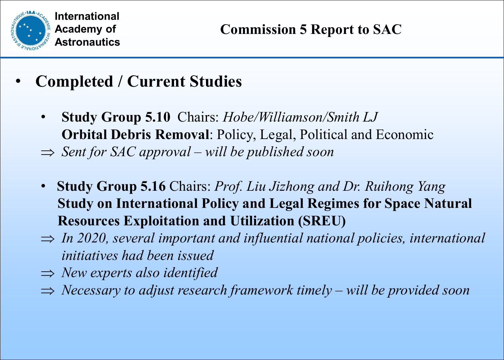

- **Completed / Current Studies** 
	- **Study Group 5.10** Chairs: *Hobe/Williamson/Smith LJ* **Orbital Debris Removal**: Policy, Legal, Political and Economic
	- ⇒ *Sent for SAC approval – will be published soon*
	- **Study Group 5.16** Chairs: *Prof. Liu Jizhong and Dr. Ruihong Yang* **Study on International Policy and Legal Regimes for Space Natural Resources Exploitation and Utilization (SREU)**
	- ⇒ *In 2020, several important and influential national policies, international initiatives had been issued*
	- ⇒ *New experts also identified*
	- ⇒ *Necessary to adjust research framework timely – will be provided soon*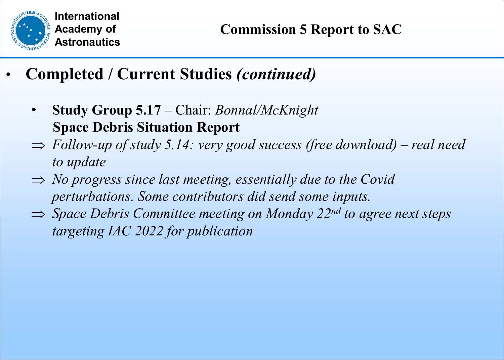

- **Completed / Current Studies** *(continued)*
	- **Study Group 5.17**  Chair: *Bonnal/McKnight* **Space Debris Situation Report**
	- ⇒ *Follow-up of study 5.14: very good success (free download) – real need to update*
	- ⇒ *No progress since last meeting, essentially due to the Covid perturbations. Some contributors did send some inputs.*
	- ⇒ *Space Debris Committee meeting on Monday 22nd to agree next steps targeting IAC 2022 for publication*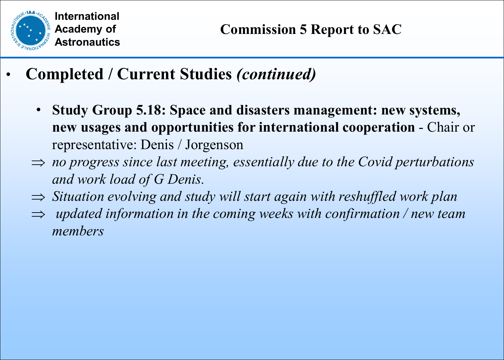

- **Completed / Current Studies** *(continued)*
	- **Study Group 5.18: Space and disasters management: new systems, new usages and opportunities for international cooperation** - Chair or representative: Denis / Jorgenson
	- ⇒ *no progress since last meeting, essentially due to the Covid perturbations and work load of G Denis.*
	- ⇒ *Situation evolving and study will start again with reshuffled work plan*
	- ⇒ *updated information in the coming weeks with confirmation / new team members*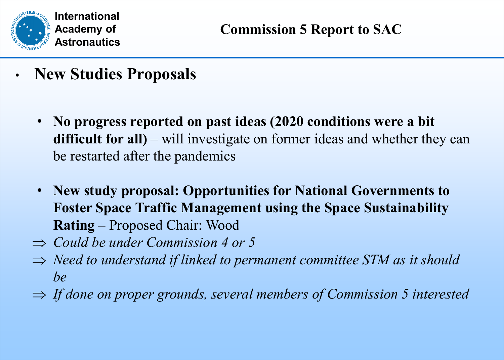

- **New Studies Proposals**
	- **No progress reported on past ideas (2020 conditions were a bit**  difficult for all) – will investigate on former ideas and whether they can be restarted after the pandemics
	- **New study proposal: Opportunities for National Governments to Foster Space Traffic Management using the Space Sustainability Rating** – Proposed Chair: Wood
	- ⇒ *Could be under Commission 4 or 5*
	- ⇒ *Need to understand if linked to permanent committee STM as it should be*
	- ⇒ *If done on proper grounds, several members of Commission 5 interested*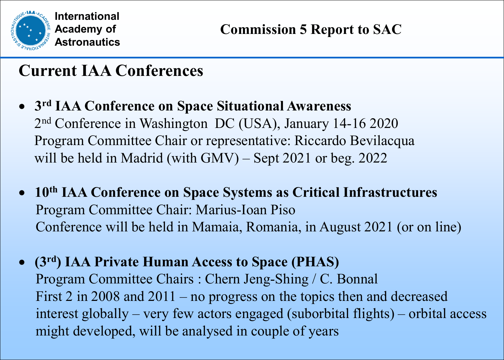

## **Current IAA Conferences**

- **3rd IAA Conference on Space Situational Awareness** 2nd Conference in Washington DC (USA), January 14-16 2020 Program Committee Chair or representative: Riccardo Bevilacqua will be held in Madrid (with GMV) – Sept 2021 or beg. 2022
- **10th IAA Conference on Space Systems as Critical Infrastructures** Program Committee Chair: Marius-Ioan Piso Conference will be held in Mamaia, Romania, in August 2021 (or on line)
- **(3rd) IAA Private Human Access to Space (PHAS)**  Program Committee Chairs : Chern Jeng-Shing / C. Bonnal First 2 in 2008 and 2011 – no progress on the topics then and decreased interest globally – very few actors engaged (suborbital flights) – orbital access might developed, will be analysed in couple of years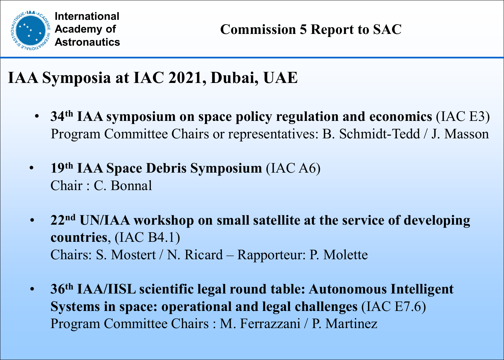

## **IAA Symposia at IAC 2021, Dubai, UAE**

- **34th IAA symposium on space policy regulation and economics** (IAC E3) Program Committee Chairs or representatives: B. Schmidt-Tedd / J. Masson
- **19th IAA Space Debris Symposium** (IAC A6) Chair : C. Bonnal
- **22nd UN/IAA workshop on small satellite at the service of developing countries**, (IAC B4.1) Chairs: S. Mostert / N. Ricard – Rapporteur: P. Molette
- **36th IAA/IISL scientific legal round table: Autonomous Intelligent Systems in space: operational and legal challenges** (IAC E7.6) Program Committee Chairs : M. Ferrazzani / P. Martinez